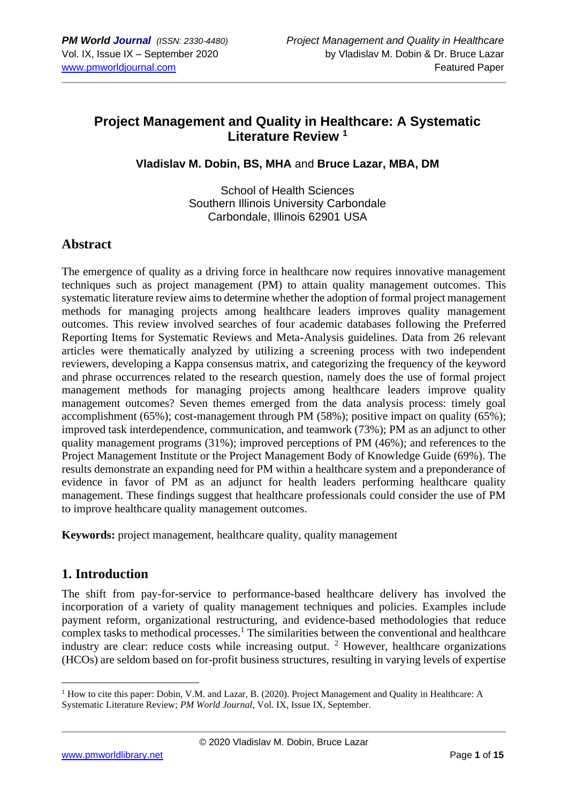# **Project Management and Quality in Healthcare: A Systematic Literature Review <sup>1</sup>**

**Vladislav M. Dobin, BS, MHA** and **Bruce Lazar, MBA, DM**

School of Health Sciences Southern Illinois University Carbondale Carbondale, Illinois 62901 USA

#### **Abstract**

The emergence of quality as a driving force in healthcare now requires innovative management techniques such as project management (PM) to attain quality management outcomes. This systematic literature review aims to determine whether the adoption of formal project management methods for managing projects among healthcare leaders improves quality management outcomes. This review involved searches of four academic databases following the Preferred Reporting Items for Systematic Reviews and Meta-Analysis guidelines. Data from 26 relevant articles were thematically analyzed by utilizing a screening process with two independent reviewers, developing a Kappa consensus matrix, and categorizing the frequency of the keyword and phrase occurrences related to the research question, namely does the use of formal project management methods for managing projects among healthcare leaders improve quality management outcomes? Seven themes emerged from the data analysis process: timely goal accomplishment (65%); cost-management through PM (58%); positive impact on quality (65%); improved task interdependence, communication, and teamwork (73%); PM as an adjunct to other quality management programs (31%); improved perceptions of PM (46%); and references to the Project Management Institute or the Project Management Body of Knowledge Guide (69%). The results demonstrate an expanding need for PM within a healthcare system and a preponderance of evidence in favor of PM as an adjunct for health leaders performing healthcare quality management. These findings suggest that healthcare professionals could consider the use of PM to improve healthcare quality management outcomes.

**Keywords:** project management, healthcare quality, quality management

#### **1. Introduction**

The shift from pay-for-service to performance-based healthcare delivery has involved the incorporation of a variety of quality management techniques and policies. Examples include payment reform, organizational restructuring, and evidence-based methodologies that reduce complex tasks to methodical processes.<sup>1</sup> The similarities between the conventional and healthcare industry are clear: reduce costs while increasing output.  $2$  However, healthcare organizations (HCOs) are seldom based on for-profit business structures, resulting in varying levels of expertise

<sup>&</sup>lt;sup>1</sup> How to cite this paper: Dobin, V.M. and Lazar, B. (2020). Project Management and Quality in Healthcare: A Systematic Literature Review; *PM World Journal*, Vol. IX, Issue IX, September.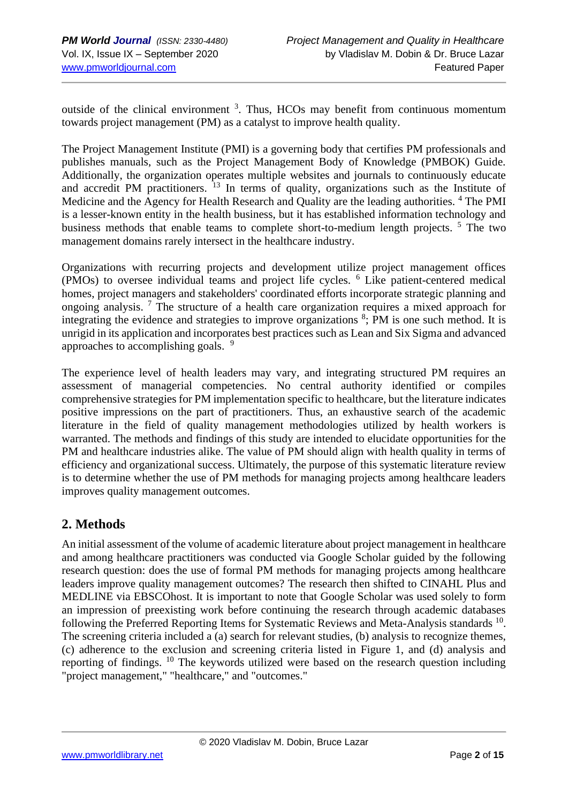outside of the clinical environment  $3$ . Thus, HCOs may benefit from continuous momentum towards project management (PM) as a catalyst to improve health quality.

The Project Management Institute (PMI) is a governing body that certifies PM professionals and publishes manuals, such as the Project Management Body of Knowledge (PMBOK) Guide. Additionally, the organization operates multiple websites and journals to continuously educate and accredit PM practitioners. <sup>13</sup> In terms of quality, organizations such as the Institute of Medicine and the Agency for Health Research and Quality are the leading authorities. <sup>4</sup> The PMI is a lesser-known entity in the health business, but it has established information technology and business methods that enable teams to complete short-to-medium length projects. <sup>5</sup> The two management domains rarely intersect in the healthcare industry.

Organizations with recurring projects and development utilize project management offices (PMOs) to oversee individual teams and project life cycles. <sup>6</sup> Like patient-centered medical homes, project managers and stakeholders' coordinated efforts incorporate strategic planning and ongoing analysis.<sup>7</sup> The structure of a health care organization requires a mixed approach for integrating the evidence and strategies to improve organizations  $\delta$ ; PM is one such method. It is unrigid in its application and incorporates best practices such as Lean and Six Sigma and advanced approaches to accomplishing goals. <sup>9</sup>

The experience level of health leaders may vary, and integrating structured PM requires an assessment of managerial competencies. No central authority identified or compiles comprehensive strategies for PM implementation specific to healthcare, but the literature indicates positive impressions on the part of practitioners. Thus, an exhaustive search of the academic literature in the field of quality management methodologies utilized by health workers is warranted. The methods and findings of this study are intended to elucidate opportunities for the PM and healthcare industries alike. The value of PM should align with health quality in terms of efficiency and organizational success. Ultimately, the purpose of this systematic literature review is to determine whether the use of PM methods for managing projects among healthcare leaders improves quality management outcomes.

# **2. Methods**

An initial assessment of the volume of academic literature about project management in healthcare and among healthcare practitioners was conducted via Google Scholar guided by the following research question: does the use of formal PM methods for managing projects among healthcare leaders improve quality management outcomes? The research then shifted to CINAHL Plus and MEDLINE via EBSCOhost. It is important to note that Google Scholar was used solely to form an impression of preexisting work before continuing the research through academic databases following the Preferred Reporting Items for Systematic Reviews and Meta-Analysis standards  $^{10}$ . The screening criteria included a (a) search for relevant studies, (b) analysis to recognize themes, (c) adherence to the exclusion and screening criteria listed in Figure 1, and (d) analysis and reporting of findings. <sup>10</sup> The keywords utilized were based on the research question including "project management," "healthcare," and "outcomes."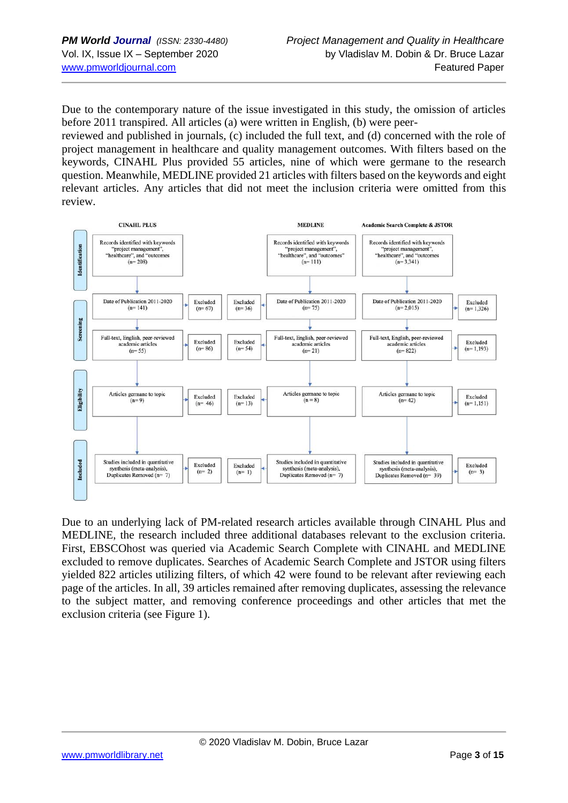Due to the contemporary nature of the issue investigated in this study, the omission of articles before 2011 transpired. All articles (a) were written in English, (b) were peer-

reviewed and published in journals, (c) included the full text, and (d) concerned with the role of project management in healthcare and quality management outcomes. With filters based on the keywords, CINAHL Plus provided 55 articles, nine of which were germane to the research question. Meanwhile, MEDLINE provided 21 articles with filters based on the keywords and eight relevant articles. Any articles that did not meet the inclusion criteria were omitted from this review.



Due to an underlying lack of PM-related research articles available through CINAHL Plus and MEDLINE, the research included three additional databases relevant to the exclusion criteria. First, EBSCOhost was queried via Academic Search Complete with CINAHL and MEDLINE excluded to remove duplicates. Searches of Academic Search Complete and JSTOR using filters yielded 822 articles utilizing filters, of which 42 were found to be relevant after reviewing each page of the articles. In all, 39 articles remained after removing duplicates, assessing the relevance to the subject matter, and removing conference proceedings and other articles that met the exclusion criteria (see Figure 1).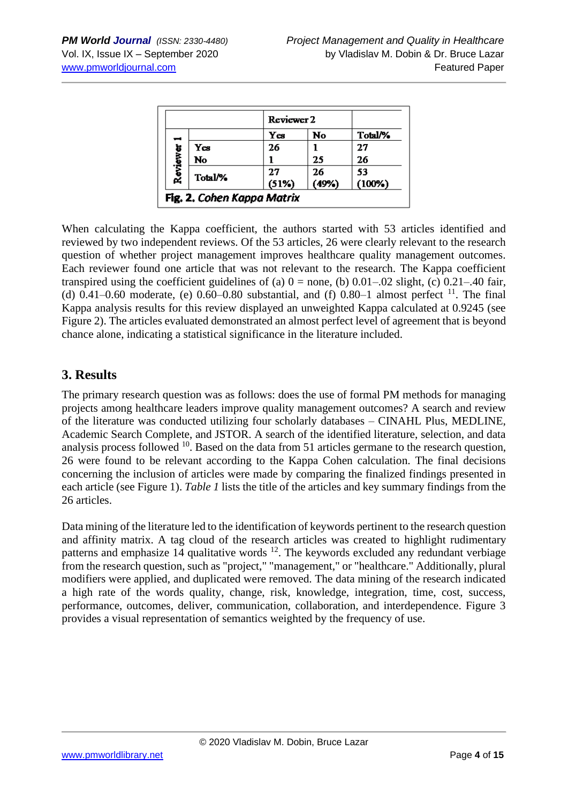|          |                                   | Reviewer 2  |             |              |
|----------|-----------------------------------|-------------|-------------|--------------|
| -        |                                   | Yes         | No          | Total/%      |
| Reviewer | Yes                               | 26          |             | 27           |
|          | No                                |             | 25          | 26           |
|          | Total/%                           | 27<br>(51%) | 26<br>(49%) | 53<br>(100%) |
|          | <b>Fig. 2. Cohen Kappa Matrix</b> |             |             |              |

When calculating the Kappa coefficient, the authors started with 53 articles identified and reviewed by two independent reviews. Of the 53 articles, 26 were clearly relevant to the research question of whether project management improves healthcare quality management outcomes. Each reviewer found one article that was not relevant to the research. The Kappa coefficient transpired using the coefficient guidelines of (a)  $0 =$  none, (b)  $0.01-0.02$  slight, (c)  $0.21-40$  fair, (d)  $0.41-0.60$  moderate, (e)  $0.60-0.80$  substantial, and (f)  $0.80-1$  almost perfect <sup>11</sup>. The final Kappa analysis results for this review displayed an unweighted Kappa calculated at 0.9245 (see Figure 2). The articles evaluated demonstrated an almost perfect level of agreement that is beyond chance alone, indicating a statistical significance in the literature included.

#### **3. Results**

The primary research question was as follows: does the use of formal PM methods for managing projects among healthcare leaders improve quality management outcomes? A search and review of the literature was conducted utilizing four scholarly databases – CINAHL Plus, MEDLINE, Academic Search Complete, and JSTOR. A search of the identified literature, selection, and data analysis process followed  $^{10}$ . Based on the data from 51 articles germane to the research question, 26 were found to be relevant according to the Kappa Cohen calculation. The final decisions concerning the inclusion of articles were made by comparing the finalized findings presented in each article (see Figure 1). *Table 1* lists the title of the articles and key summary findings from the 26 articles.

Data mining of the literature led to the identification of keywords pertinent to the research question and affinity matrix. A tag cloud of the research articles was created to highlight rudimentary patterns and emphasize  $14$  qualitative words  $12$ . The keywords excluded any redundant verbiage from the research question, such as "project," "management," or "healthcare." Additionally, plural modifiers were applied, and duplicated were removed. The data mining of the research indicated a high rate of the words quality, change, risk, knowledge, integration, time, cost, success, performance, outcomes, deliver, communication, collaboration, and interdependence. Figure 3 provides a visual representation of semantics weighted by the frequency of use.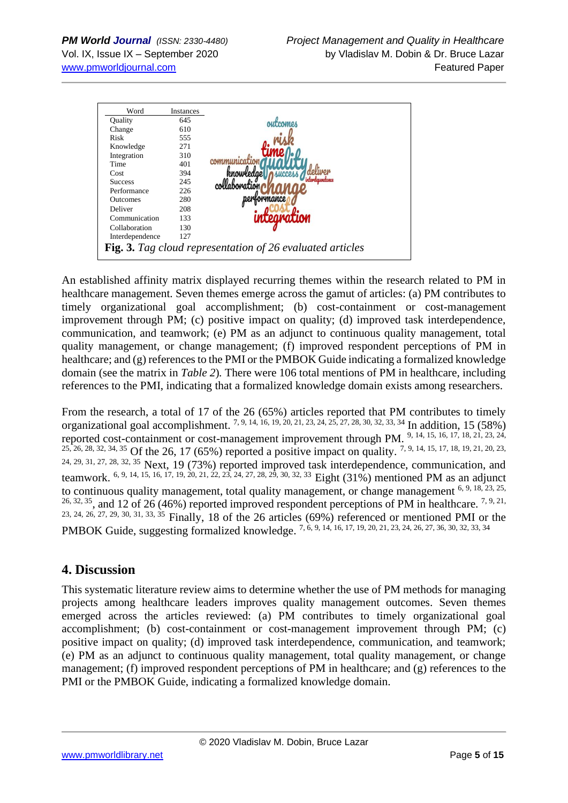

An established affinity matrix displayed recurring themes within the research related to PM in healthcare management. Seven themes emerge across the gamut of articles: (a) PM contributes to timely organizational goal accomplishment; (b) cost-containment or cost-management improvement through PM; (c) positive impact on quality; (d) improved task interdependence, communication, and teamwork; (e) PM as an adjunct to continuous quality management, total quality management, or change management; (f) improved respondent perceptions of PM in healthcare; and (g) references to the PMI or the PMBOK Guide indicating a formalized knowledge domain (see the matrix in *Table 2*)*.* There were 106 total mentions of PM in healthcare, including references to the PMI, indicating that a formalized knowledge domain exists among researchers.

From the research, a total of 17 of the 26 (65%) articles reported that PM contributes to timely organizational goal accomplishment. 7, 9, 14, 16, 19, 20, 21, 23, 24, 25, 27, 28, 30, 32, 33, 34 In addition, 15 (58%) reported cost-containment or cost-management improvement through PM. 9, 14, 15, 16, 17, 18, 21, 23, 24, 25, 26, 28, 32, 34, 35 Of the 26, 17 (65%) reported a positive impact on quality. 7, 9, 14, 15, 17, 18, 19, 21, 20, 23, 24, 29, 31, 27, 28, 32, 35 Next, 19 (73%) reported improved task interdependence, communication, and teamwork. <sup>6, 9, 14, 15, 16, 17, 19, 20, 21, 22, 23, 24, 27, 28, 29, 30, 32, 33 Eight (31%) mentioned PM as an adjunct</sup> to continuous quality management, total quality management, or change management  $6, 9, 18, 23, 25,$  $26, 32, 35$ , and 12 of 26 (46%) reported improved respondent perceptions of PM in healthcare. <sup>7, 9, 21,</sup> 23, 24, 26, 27, 29, 30, 31, 33, 35 Finally, 18 of the 26 articles (69%) referenced or mentioned PMI or the PMBOK Guide, suggesting formalized knowledge. 7, 6, 9, 14, 16, 17, 19, 20, 21, 23, 24, 26, 27, 36, 30, 32, 33, 34

# **4. Discussion**

This systematic literature review aims to determine whether the use of PM methods for managing projects among healthcare leaders improves quality management outcomes. Seven themes emerged across the articles reviewed: (a) PM contributes to timely organizational goal accomplishment; (b) cost-containment or cost-management improvement through PM; (c) positive impact on quality; (d) improved task interdependence, communication, and teamwork; (e) PM as an adjunct to continuous quality management, total quality management, or change management; (f) improved respondent perceptions of PM in healthcare; and (g) references to the PMI or the PMBOK Guide, indicating a formalized knowledge domain.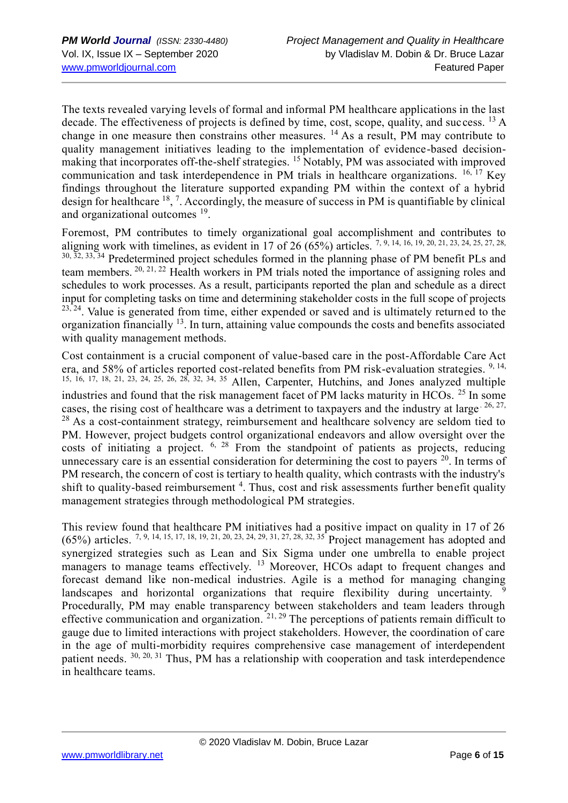The texts revealed varying levels of formal and informal PM healthcare applications in the last decade. The effectiveness of projects is defined by time, cost, scope, quality, and success.  $^{13}$  A change in one measure then constrains other measures.  $^{14}$  As a result, PM may contribute to quality management initiatives leading to the implementation of evidence-based decisionmaking that incorporates off-the-shelf strategies. <sup>15</sup> Notably, PM was associated with improved communication and task interdependence in PM trials in healthcare organizations.  $^{16, 17}$  Key findings throughout the literature supported expanding PM within the context of a hybrid design for healthcare  $^{18}$ , <sup>7</sup>. Accordingly, the measure of success in PM is quantifiable by clinical and organizational outcomes <sup>19</sup>.

Foremost, PM contributes to timely organizational goal accomplishment and contributes to aligning work with timelines, as evident in 17 of 26 (65%) articles.  $7, 9, 14, 16, 19, 20, 21, 23, 24, 25, 27, 28$ , 30, 32, 33, 34 Predetermined project schedules formed in the planning phase of PM benefit PLs and team members. 20, 21, 22 Health workers in PM trials noted the importance of assigning roles and schedules to work processes. As a result, participants reported the plan and schedule as a direct input for completing tasks on time and determining stakeholder costs in the full scope of projects <sup>23, 24</sup>. Value is generated from time, either expended or saved and is ultimately returned to the organization financially  $^{13}$ . In turn, attaining value compounds the costs and benefits associated with quality management methods.

Cost containment is a crucial component of value-based care in the post-Affordable Care Act era, and 58% of articles reported cost-related benefits from PM risk-evaluation strategies.  $9,14$ , 15, 16, 17, 18, 21, 23, 24, 25, 26, 28, 32, 34, 35 Allen, Carpenter, Hutchins, and Jones analyzed multiple industries and found that the risk management facet of PM lacks maturity in HCOs. <sup>25</sup> In some cases, the rising cost of healthcare was a detriment to taxpayers and the industry at large<sup>. 26, 27,</sup>  $28$  As a cost-containment strategy, reimbursement and healthcare solvency are seldom tied to PM. However, project budgets control organizational endeavors and allow oversight over the costs of initiating a project. 6, 28 From the standpoint of patients as projects, reducing unnecessary care is an essential consideration for determining the cost to payers  $20$ . In terms of PM research, the concern of cost is tertiary to health quality, which contrasts with the industry's shift to quality-based reimbursement<sup>4</sup>. Thus, cost and risk assessments further benefit quality management strategies through methodological PM strategies.

This review found that healthcare PM initiatives had a positive impact on quality in 17 of 26  $(65%)$  articles. <sup>7, 9, 14, 15, 17, 18, 19, 21, 20, 23, 24, 29, 31, 27, 28, 32, 35 Project management has adopted and</sup> synergized strategies such as Lean and Six Sigma under one umbrella to enable project managers to manage teams effectively. <sup>13</sup> Moreover, HCOs adapt to frequent changes and forecast demand like non-medical industries. Agile is a method for managing changing landscapes and horizontal organizations that require flexibility during uncertainty. Procedurally, PM may enable transparency between stakeholders and team leaders through effective communication and organization. <sup>21, 29</sup> The perceptions of patients remain difficult to gauge due to limited interactions with project stakeholders. However, the coordination of care in the age of multi-morbidity requires comprehensive case management of interdependent patient needs. <sup>30, 20, 31</sup> Thus, PM has a relationship with cooperation and task interdependence in healthcare teams.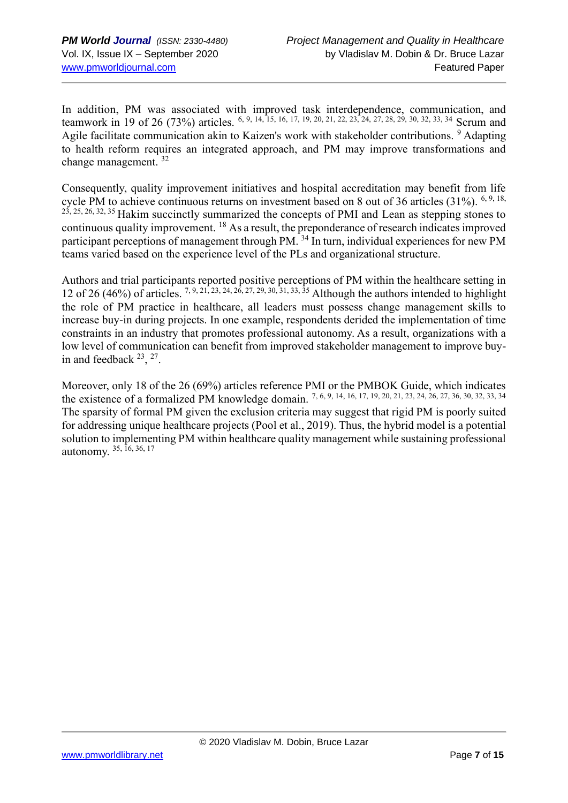In addition, PM was associated with improved task interdependence, communication, and teamwork in 19 of 26 (73%) articles. <sup>6, 9, 14, 15, 16, 17, 19, 20, 21, 22, 23, 24, 27, 28, 29, 30, 32, 33, 34 Scrum and</sup> Agile facilitate communication akin to Kaizen's work with stakeholder contributions. <sup>9</sup> Adapting to health reform requires an integrated approach, and PM may improve transformations and change management. <sup>32</sup>

Consequently, quality improvement initiatives and hospital accreditation may benefit from life cycle PM to achieve continuous returns on investment based on 8 out of 36 articles (31%). <sup>6, 9, 18,</sup> 23, 25, 26, 32, 35 Hakim succinctly summarized the concepts of PMI and Lean as stepping stones to continuous quality improvement. <sup>18</sup> As a result, the preponderance of research indicates improved participant perceptions of management through PM. <sup>34</sup> In turn, individual experiences for new PM teams varied based on the experience level of the PLs and organizational structure.

Authors and trial participants reported positive perceptions of PM within the healthcare setting in 12 of 26 (46%) of articles. 7, 9, 21, 23, 24, 26, 27, 29, 30, 31, 33, 35 Although the authors intended to highlight the role of PM practice in healthcare, all leaders must possess change management skills to increase buy-in during projects. In one example, respondents derided the implementation of time constraints in an industry that promotes professional autonomy. As a result, organizations with a low level of communication can benefit from improved stakeholder management to improve buyin and feedback  $23$ ,  $27$ .

Moreover, only 18 of the 26 (69%) articles reference PMI or the PMBOK Guide, which indicates the existence of a formalized PM knowledge domain.  $7, 6, 9, 14, 16, 17, 19, 20, 21, 23, 24, 26, 27, 36, 30, 32, 33, 34$ The sparsity of formal PM given the exclusion criteria may suggest that rigid PM is poorly suited for addressing unique healthcare projects (Pool et al., 2019). Thus, the hybrid model is a potential solution to implementing PM within healthcare quality management while sustaining professional autonomy. 35, 16, 36, 17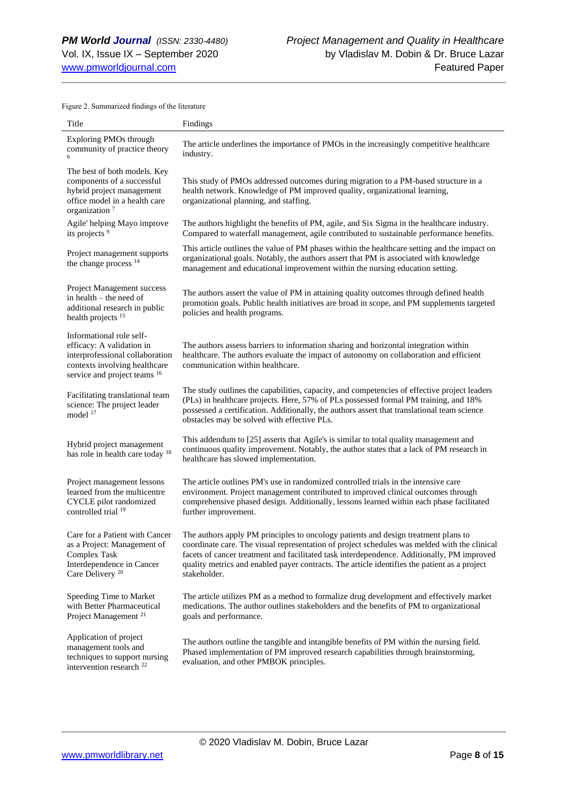Figure 2. Summarized findings of the literature

| Title                                                                                                                                                     | Findings                                                                                                                                                                                                                                                                                                                                                                                         |
|-----------------------------------------------------------------------------------------------------------------------------------------------------------|--------------------------------------------------------------------------------------------------------------------------------------------------------------------------------------------------------------------------------------------------------------------------------------------------------------------------------------------------------------------------------------------------|
| <b>Exploring PMOs through</b><br>community of practice theory                                                                                             | The article underlines the importance of PMOs in the increasingly competitive healthcare<br>industry.                                                                                                                                                                                                                                                                                            |
| The best of both models. Key<br>components of a successful<br>hybrid project management<br>office model in a health care<br>organization <sup>7</sup>     | This study of PMOs addressed outcomes during migration to a PM-based structure in a<br>health network. Knowledge of PM improved quality, organizational learning,<br>organizational planning, and staffing.                                                                                                                                                                                      |
| Agile' helping Mayo improve<br>its projects <sup>9</sup>                                                                                                  | The authors highlight the benefits of PM, agile, and Six Sigma in the healthcare industry.<br>Compared to waterfall management, agile contributed to sustainable performance benefits.                                                                                                                                                                                                           |
| Project management supports<br>the change process <sup>14</sup>                                                                                           | This article outlines the value of PM phases within the healthcare setting and the impact on<br>organizational goals. Notably, the authors assert that PM is associated with knowledge<br>management and educational improvement within the nursing education setting.                                                                                                                           |
| Project Management success<br>in health - the need of<br>additional research in public<br>health projects <sup>15</sup>                                   | The authors assert the value of PM in attaining quality outcomes through defined health<br>promotion goals. Public health initiatives are broad in scope, and PM supplements targeted<br>policies and health programs.                                                                                                                                                                           |
| Informational role self-<br>efficacy: A validation in<br>interprofessional collaboration<br>contexts involving healthcare<br>service and project teams 16 | The authors assess barriers to information sharing and horizontal integration within<br>healthcare. The authors evaluate the impact of autonomy on collaboration and efficient<br>communication within healthcare.                                                                                                                                                                               |
| Facilitating translational team<br>science: The project leader<br>model 17                                                                                | The study outlines the capabilities, capacity, and competencies of effective project leaders<br>(PLs) in healthcare projects. Here, 57% of PLs possessed formal PM training, and 18%<br>possessed a certification. Additionally, the authors assert that translational team science<br>obstacles may be solved with effective PLs.                                                               |
| Hybrid project management<br>has role in health care today 18                                                                                             | This addendum to [25] asserts that Agile's is similar to total quality management and<br>continuous quality improvement. Notably, the author states that a lack of PM research in<br>healthcare has slowed implementation.                                                                                                                                                                       |
| Project management lessons<br>learned from the multicentre<br>CYCLE pilot randomized<br>controlled trial 19                                               | The article outlines PM's use in randomized controlled trials in the intensive care<br>environment. Project management contributed to improved clinical outcomes through<br>comprehensive phased design. Additionally, lessons learned within each phase facilitated<br>further improvement.                                                                                                     |
| Care for a Patient with Cancer<br>as a Project: Management of<br>Complex Task<br>Interdependence in Cancer<br>Care Delivery <sup>20</sup>                 | The authors apply PM principles to oncology patients and design treatment plans to<br>coordinate care. The visual representation of project schedules was melded with the clinical<br>facets of cancer treatment and facilitated task interdependence. Additionally, PM improved<br>quality metrics and enabled payer contracts. The article identifies the patient as a project<br>stakeholder. |
| Speeding Time to Market<br>with Better Pharmaceutical<br>Project Management <sup>21</sup>                                                                 | The article utilizes PM as a method to formalize drug development and effectively market<br>medications. The author outlines stakeholders and the benefits of PM to organizational<br>goals and performance.                                                                                                                                                                                     |
| Application of project<br>management tools and<br>techniques to support nursing<br>intervention research <sup>22</sup>                                    | The authors outline the tangible and intangible benefits of PM within the nursing field.<br>Phased implementation of PM improved research capabilities through brainstorming,<br>evaluation, and other PMBOK principles.                                                                                                                                                                         |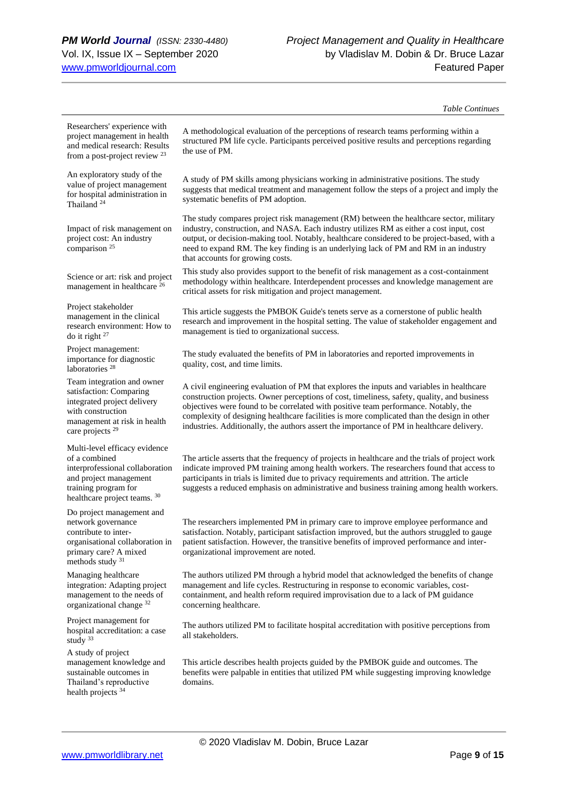#### *Table Continues*

Researchers' experience with project management in health and medical research: Results from a post-project review <sup>23</sup>

An exploratory study of the value of project management for hospital administration in Thailand<sup>24</sup>

Impact of risk management on project cost: An industry comparison <sup>25</sup>

Science or art: risk and project management in healthcare <sup>26</sup>

Project stakeholder management in the clinical research environment: How to do it right <sup>27</sup>

Project management: importance for diagnostic laboratories<sup>28</sup>

Team integration and owner satisfaction: Comparing integrated project delivery with construction management at risk in health care projects <sup>29</sup>

Multi-level efficacy evidence of a combined interprofessional collaboration and project management training program for healthcare project teams. 30

Do project management and network governance contribute to interorganisational collaboration in primary care? A mixed methods study 31

Managing healthcare integration: Adapting project management to the needs of organizational change <sup>32</sup>

Project management for hospital accreditation: a case study 33

A study of project management knowledge and sustainable outcomes in Thailand's reproductive health projects <sup>34</sup>

A methodological evaluation of the perceptions of research teams performing within a structured PM life cycle. Participants perceived positive results and perceptions regarding the use of PM.

A study of PM skills among physicians working in administrative positions. The study suggests that medical treatment and management follow the steps of a project and imply the systematic benefits of PM adoption.

The study compares project risk management (RM) between the healthcare sector, military industry, construction, and NASA. Each industry utilizes RM as either a cost input, cost output, or decision-making tool. Notably, healthcare considered to be project-based, with a need to expand RM. The key finding is an underlying lack of PM and RM in an industry that accounts for growing costs.

This study also provides support to the benefit of risk management as a cost-containment methodology within healthcare. Interdependent processes and knowledge management are critical assets for risk mitigation and project management.

This article suggests the PMBOK Guide's tenets serve as a cornerstone of public health research and improvement in the hospital setting. The value of stakeholder engagement and management is tied to organizational success.

The study evaluated the benefits of PM in laboratories and reported improvements in quality, cost, and time limits.

A civil engineering evaluation of PM that explores the inputs and variables in healthcare construction projects. Owner perceptions of cost, timeliness, safety, quality, and business objectives were found to be correlated with positive team performance. Notably, the complexity of designing healthcare facilities is more complicated than the design in other industries. Additionally, the authors assert the importance of PM in healthcare delivery.

The article asserts that the frequency of projects in healthcare and the trials of project work indicate improved PM training among health workers. The researchers found that access to participants in trials is limited due to privacy requirements and attrition. The article suggests a reduced emphasis on administrative and business training among health workers.

The researchers implemented PM in primary care to improve employee performance and satisfaction. Notably, participant satisfaction improved, but the authors struggled to gauge patient satisfaction. However, the transitive benefits of improved performance and interorganizational improvement are noted.

The authors utilized PM through a hybrid model that acknowledged the benefits of change management and life cycles. Restructuring in response to economic variables, costcontainment, and health reform required improvisation due to a lack of PM guidance concerning healthcare.

The authors utilized PM to facilitate hospital accreditation with positive perceptions from all stakeholders.

This article describes health projects guided by the PMBOK guide and outcomes. The benefits were palpable in entities that utilized PM while suggesting improving knowledge domains.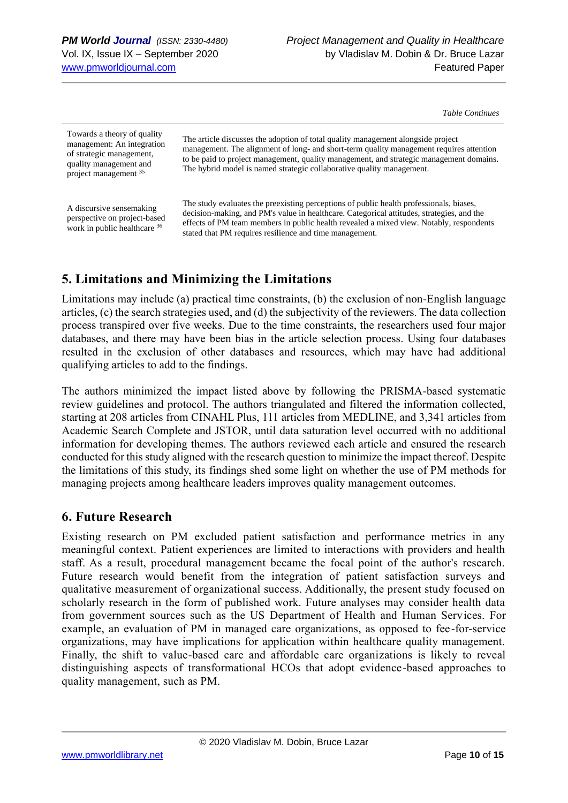*Table Continues*

| Towards a theory of quality<br>management: An integration<br>of strategic management,<br>quality management and<br>project management 35 | The article discusses the adoption of total quality management alongside project<br>management. The alignment of long- and short-term quality management requires attention<br>to be paid to project management, quality management, and strategic management domains.<br>The hybrid model is named strategic collaborative quality management. |
|------------------------------------------------------------------------------------------------------------------------------------------|-------------------------------------------------------------------------------------------------------------------------------------------------------------------------------------------------------------------------------------------------------------------------------------------------------------------------------------------------|
| A discursive sensemaking<br>perspective on project-based<br>work in public healthcare 36                                                 | The study evaluates the preexisting perceptions of public health professionals, biases,<br>decision-making, and PM's value in healthcare. Categorical attitudes, strategies, and the<br>effects of PM team members in public health revealed a mixed view. Notably, respondents<br>stated that PM requires resilience and time management.      |

# **5. Limitations and Minimizing the Limitations**

Limitations may include (a) practical time constraints, (b) the exclusion of non-English language articles, (c) the search strategies used, and (d) the subjectivity of the reviewers. The data collection process transpired over five weeks. Due to the time constraints, the researchers used four major databases, and there may have been bias in the article selection process. Using four databases resulted in the exclusion of other databases and resources, which may have had additional qualifying articles to add to the findings.

The authors minimized the impact listed above by following the PRISMA-based systematic review guidelines and protocol. The authors triangulated and filtered the information collected, starting at 208 articles from CINAHL Plus, 111 articles from MEDLINE, and 3,341 articles from Academic Search Complete and JSTOR, until data saturation level occurred with no additional information for developing themes. The authors reviewed each article and ensured the research conducted for this study aligned with the research question to minimize the impact thereof. Despite the limitations of this study, its findings shed some light on whether the use of PM methods for managing projects among healthcare leaders improves quality management outcomes.

# **6. Future Research**

Existing research on PM excluded patient satisfaction and performance metrics in any meaningful context. Patient experiences are limited to interactions with providers and health staff. As a result, procedural management became the focal point of the author's research. Future research would benefit from the integration of patient satisfaction surveys and qualitative measurement of organizational success. Additionally, the present study focused on scholarly research in the form of published work. Future analyses may consider health data from government sources such as the US Department of Health and Human Services. For example, an evaluation of PM in managed care organizations, as opposed to fee-for-service organizations, may have implications for application within healthcare quality management. Finally, the shift to value-based care and affordable care organizations is likely to reveal distinguishing aspects of transformational HCOs that adopt evidence-based approaches to quality management, such as PM.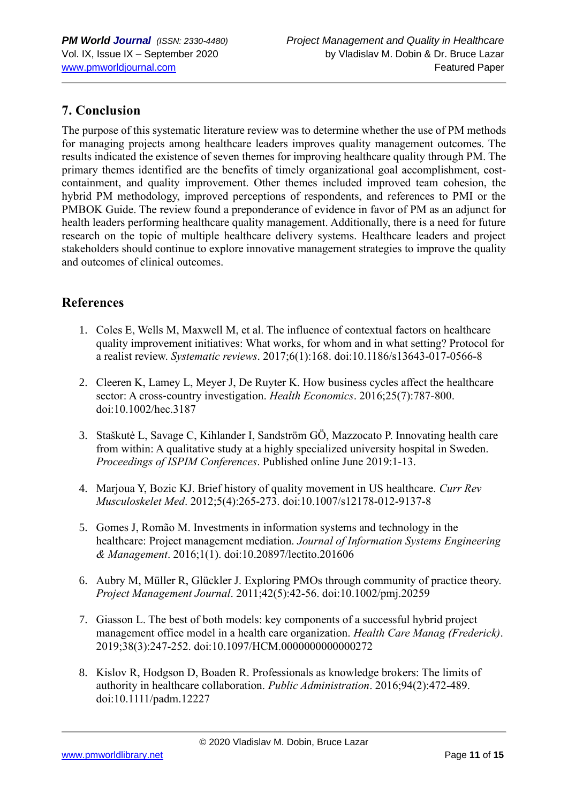# **7. Conclusion**

The purpose of this systematic literature review was to determine whether the use of PM methods for managing projects among healthcare leaders improves quality management outcomes. The results indicated the existence of seven themes for improving healthcare quality through PM. The primary themes identified are the benefits of timely organizational goal accomplishment, costcontainment, and quality improvement. Other themes included improved team cohesion, the hybrid PM methodology, improved perceptions of respondents, and references to PMI or the PMBOK Guide. The review found a preponderance of evidence in favor of PM as an adjunct for health leaders performing healthcare quality management. Additionally, there is a need for future research on the topic of multiple healthcare delivery systems. Healthcare leaders and project stakeholders should continue to explore innovative management strategies to improve the quality and outcomes of clinical outcomes.

# **References**

- 1. Coles E, Wells M, Maxwell M, et al. The influence of contextual factors on healthcare quality improvement initiatives: What works, for whom and in what setting? Protocol for a realist review. *Systematic reviews*. 2017;6(1):168. doi:10.1186/s13643-017-0566-8
- 2. Cleeren K, Lamey L, Meyer J, De Ruyter K. How business cycles affect the healthcare sector: A cross‐country investigation. *Health Economics*. 2016;25(7):787-800. doi:10.1002/hec.3187
- 3. Staškutė L, Savage C, Kihlander I, Sandström GÖ, Mazzocato P. Innovating health care from within: A qualitative study at a highly specialized university hospital in Sweden. *Proceedings of ISPIM Conferences*. Published online June 2019:1-13.
- 4. Marjoua Y, Bozic KJ. Brief history of quality movement in US healthcare. *Curr Rev Musculoskelet Med*. 2012;5(4):265-273. doi:10.1007/s12178-012-9137-8
- 5. Gomes J, Romão M. Investments in information systems and technology in the healthcare: Project management mediation. *Journal of Information Systems Engineering & Management*. 2016;1(1). doi:10.20897/lectito.201606
- 6. Aubry M, Müller R, Glückler J. Exploring PMOs through community of practice theory. *Project Management Journal*. 2011;42(5):42-56. doi:10.1002/pmj.20259
- 7. Giasson L. The best of both models: key components of a successful hybrid project management office model in a health care organization. *Health Care Manag (Frederick)*. 2019;38(3):247-252. doi:10.1097/HCM.0000000000000272
- 8. Kislov R, Hodgson D, Boaden R. Professionals as knowledge brokers: The limits of authority in healthcare collaboration. *Public Administration*. 2016;94(2):472-489. doi:10.1111/padm.12227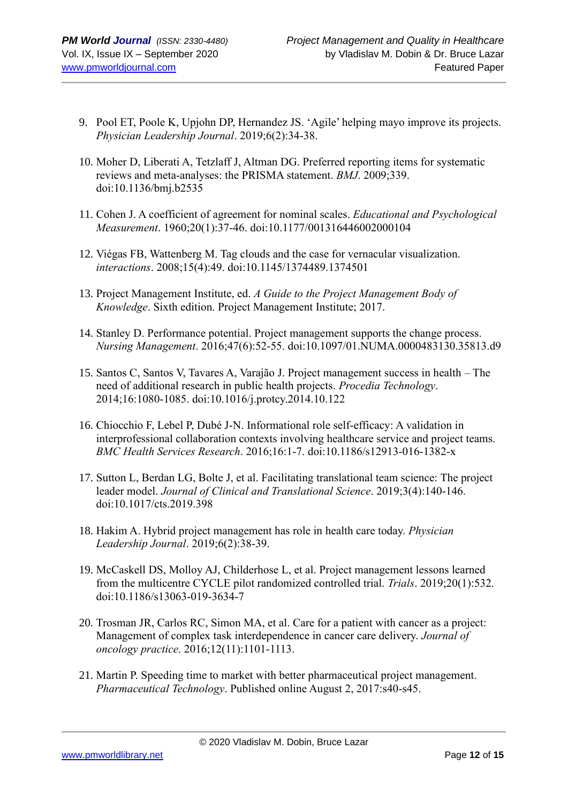- 9. Pool ET, Poole K, Upjohn DP, Hernandez JS. 'Agile' helping mayo improve its projects. *Physician Leadership Journal*. 2019;6(2):34-38.
- 10. Moher D, Liberati A, Tetzlaff J, Altman DG. Preferred reporting items for systematic reviews and meta-analyses: the PRISMA statement. *BMJ*. 2009;339. doi:10.1136/bmj.b2535
- 11. Cohen J. A coefficient of agreement for nominal scales. *Educational and Psychological Measurement*. 1960;20(1):37-46. doi:10.1177/001316446002000104
- 12. Viégas FB, Wattenberg M. Tag clouds and the case for vernacular visualization. *interactions*. 2008;15(4):49. doi:10.1145/1374489.1374501
- 13. Project Management Institute, ed. *A Guide to the Project Management Body of Knowledge*. Sixth edition. Project Management Institute; 2017.
- 14. Stanley D. Performance potential. Project management supports the change process. *Nursing Management*. 2016;47(6):52-55. doi:10.1097/01.NUMA.0000483130.35813.d9
- 15. Santos C, Santos V, Tavares A, Varajão J. Project management success in health The need of additional research in public health projects. *Procedia Technology*. 2014;16:1080-1085. doi:10.1016/j.protcy.2014.10.122
- 16. Chiocchio F, Lebel P, Dubé J-N. Informational role self-efficacy: A validation in interprofessional collaboration contexts involving healthcare service and project teams. *BMC Health Services Research*. 2016;16:1-7. doi:10.1186/s12913-016-1382-x
- 17. Sutton L, Berdan LG, Bolte J, et al. Facilitating translational team science: The project leader model. *Journal of Clinical and Translational Science*. 2019;3(4):140-146. doi:10.1017/cts.2019.398
- 18. Hakim A. Hybrid project management has role in health care today. *Physician Leadership Journal*. 2019;6(2):38-39.
- 19. McCaskell DS, Molloy AJ, Childerhose L, et al. Project management lessons learned from the multicentre CYCLE pilot randomized controlled trial. *Trials*. 2019;20(1):532. doi:10.1186/s13063-019-3634-7
- 20. Trosman JR, Carlos RC, Simon MA, et al. Care for a patient with cancer as a project: Management of complex task interdependence in cancer care delivery. *Journal of oncology practice*. 2016;12(11):1101-1113.
- 21. Martin P. Speeding time to market with better pharmaceutical project management. *Pharmaceutical Technology*. Published online August 2, 2017:s40-s45.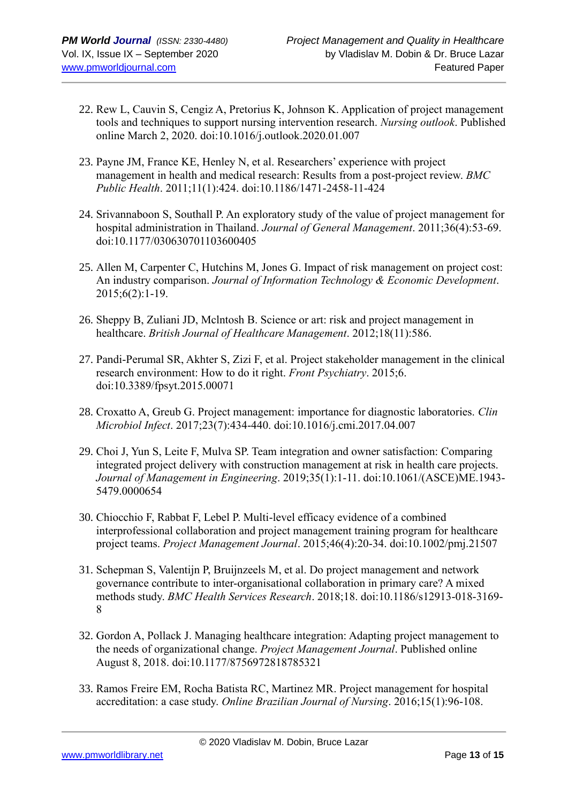- 22. Rew L, Cauvin S, Cengiz A, Pretorius K, Johnson K. Application of project management tools and techniques to support nursing intervention research. *Nursing outlook*. Published online March 2, 2020. doi:10.1016/j.outlook.2020.01.007
- 23. Payne JM, France KE, Henley N, et al. Researchers' experience with project management in health and medical research: Results from a post-project review. *BMC Public Health*. 2011;11(1):424. doi:10.1186/1471-2458-11-424
- 24. Srivannaboon S, Southall P. An exploratory study of the value of project management for hospital administration in Thailand. *Journal of General Management*. 2011;36(4):53-69. doi:10.1177/030630701103600405
- 25. Allen M, Carpenter C, Hutchins M, Jones G. Impact of risk management on project cost: An industry comparison. *Journal of Information Technology & Economic Development*. 2015;6(2):1-19.
- 26. Sheppy B, Zuliani JD, Mclntosh B. Science or art: risk and project management in healthcare. *British Journal of Healthcare Management*. 2012;18(11):586.
- 27. Pandi-Perumal SR, Akhter S, Zizi F, et al. Project stakeholder management in the clinical research environment: How to do it right. *Front Psychiatry*. 2015;6. doi:10.3389/fpsyt.2015.00071
- 28. Croxatto A, Greub G. Project management: importance for diagnostic laboratories. *Clin Microbiol Infect*. 2017;23(7):434-440. doi:10.1016/j.cmi.2017.04.007
- 29. Choi J, Yun S, Leite F, Mulva SP. Team integration and owner satisfaction: Comparing integrated project delivery with construction management at risk in health care projects. *Journal of Management in Engineering*. 2019;35(1):1-11. doi:10.1061/(ASCE)ME.1943- 5479.0000654
- 30. Chiocchio F, Rabbat F, Lebel P. Multi-level efficacy evidence of a combined interprofessional collaboration and project management training program for healthcare project teams. *Project Management Journal*. 2015;46(4):20-34. doi:10.1002/pmj.21507
- 31. Schepman S, Valentijn P, Bruijnzeels M, et al. Do project management and network governance contribute to inter-organisational collaboration in primary care? A mixed methods study. *BMC Health Services Research*. 2018;18. doi:10.1186/s12913-018-3169- 8
- 32. Gordon A, Pollack J. Managing healthcare integration: Adapting project management to the needs of organizational change. *Project Management Journal*. Published online August 8, 2018. doi:10.1177/8756972818785321
- 33. Ramos Freire EM, Rocha Batista RC, Martinez MR. Project management for hospital accreditation: a case study. *Online Brazilian Journal of Nursing*. 2016;15(1):96-108.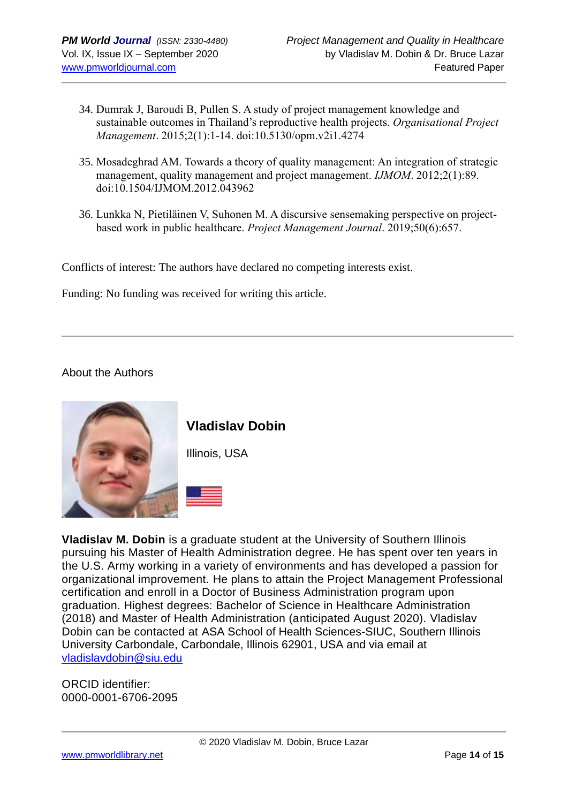- 34. Dumrak J, Baroudi B, Pullen S. A study of project management knowledge and sustainable outcomes in Thailand's reproductive health projects. *Organisational Project Management*. 2015;2(1):1-14. doi:10.5130/opm.v2i1.4274
- 35. Mosadeghrad AM. Towards a theory of quality management: An integration of strategic management, quality management and project management. *IJMOM*. 2012;2(1):89. doi:10.1504/IJMOM.2012.043962
- 36. Lunkka N, Pietiläinen V, Suhonen M. A discursive sensemaking perspective on projectbased work in public healthcare. *Project Management Journal*. 2019;50(6):657.

Conflicts of interest: The authors have declared no competing interests exist.

Funding: No funding was received for writing this article.

#### About the Authors



**Vladislav Dobin**

Illinois, USA



**Vladislav M. Dobin** is a graduate student at the University of Southern Illinois pursuing his Master of Health Administration degree. He has spent over ten years in the U.S. Army working in a variety of environments and has developed a passion for organizational improvement. He plans to attain the Project Management Professional certification and enroll in a Doctor of Business Administration program upon graduation. Highest degrees: Bachelor of Science in Healthcare Administration (2018) and Master of Health Administration (anticipated August 2020). Vladislav Dobin can be contacted at ASA School of Health Sciences-SIUC, Southern Illinois University Carbondale, Carbondale, Illinois 62901, USA and via email at [vladislavdobin@siu.edu](mailto:vladislavdobin@siu.edu)

ORCID identifier: 0000-0001-6706-2095